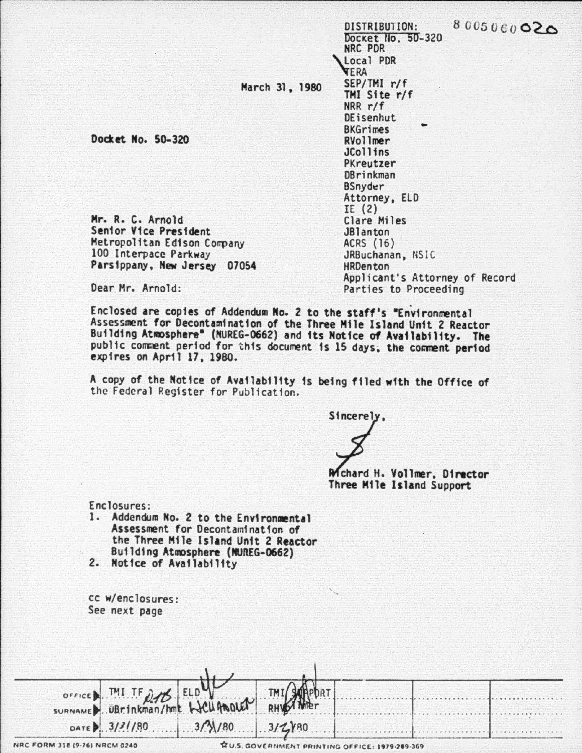8005060020

March 31, 1980

Docket No. 50-320

NRC PDR Local PDR **YERA** SEP/TMI r/f TMI Site r/f  $NRR r/f$ DEisenhut **BKGrimes** RVollmer **JCollins** PKreutzer **DBrinkman BSnyder** Attorney, ELD  $IE(2)$ Clare Miles **JBlanton** ACRS (16) JRBuchanan, NSIC **HRDenton** Applicant's Attorney of Record Parties to Proceeding

DISTRIBUTION: Docket No. 50-320

Dear Mr. Arnold:

Mr. R. C. Arnold

Senior Vice President

100 Interpace Parkway

Metropolitan Edison Company

Parsippany, New Jersey 07054

Enclosed are copies of Addendum No. 2 to the staff's "Environmental Assessment for Decontamination of the Three Mile Island Unit 2 Reactor Building Atmosphere" (NUREG-0662) and its Notice of Availability. The public comment period for this document is 15 days; the comment period expires on April 17, 1980.

A copy of the Notice of Availability is being filed with the Office of the Federal Register for Publication.

Sincerely.

Mchard H. Vollmer, Director Three Mile Island Support

Enclosures:

- 1. Addendum No. 2 to the Environmental Assessment for Decontamination of the Three Mile Island Unit 2 Reactor Building Atmosphere (MUREG-0662)
- 2. Notice of Availability

CC W/enclosures: See next page

| OFFICE MI TF 275 ELD WARDLEN THI SUPPOR |  |  |  |
|-----------------------------------------|--|--|--|
|                                         |  |  |  |
| DATE 3/3//80 3/3/180                    |  |  |  |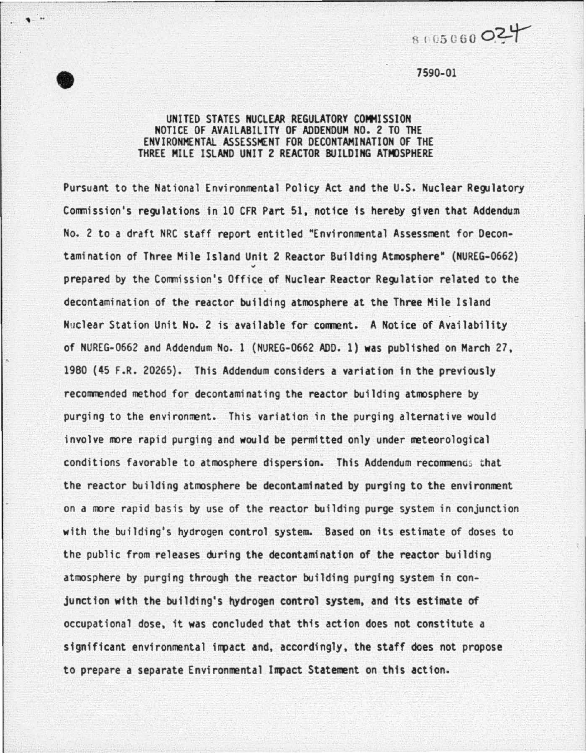$\begin{array}{r} 8005060 \text{ O} \end{array}$ <br>  $\begin{array}{r} 7590-01 \end{array}$ 

## 7590-01

' ..

## UNITED STATES NUCLEAR REGULATORY COMMISSION NOTICE OF AVAILABILITY OF ADDENDUM NO. 2 TO THE ENVIRONMENTAL ASSESSMENT FOR DECONTAMINATION OF THE THREE MILE ISLAHD UNIT 2 REACTOR BUILDING ATMOSPHERE

Pursuant to the National Environmental Policy Act and the U.S. Nuclear Regulatory Commission's regulations in 10 CFR Part 51, notice is hereby given that Addendum No. 2 to a draft NRC staff report entitled •Environmental Assessment for Decontamination of Three Mile Island Unit 2 Reactor Building Atmosphere" (NUREG-0662) prepared by the Commission's Office of Nuclear Reactor Regulatior related to the decontamination of the reactor building atmosphere at the Three Mile Island Nuclear Station Unit No. 2 is available for comment. A Notice of Availability of NUREG-0662 and Addendum No. 1 (NUREG-0662 ADD. 1) was published on March 27, 1980 (45 F.R. 20265). This Addendum considers a variation in the previously recommended method for decontaminating the reactor building atmosphere by purging to the environment. This variation in the purging alternative would involve more rapid purging and would be permitted only under meteorological conditions favorable to atmosphere dispersion. This Addendum recommends that the reactor building atmosphere be decontaminated by purging to the environment on a more rapid basis by use of the reactor building purge system in conjunction with the building's hyarogen control system. Based on its estimate of doses to the public from releases during the decontamination of the reactor building atmosphere by purging through the reactor building purging system in conjunction with the building's hydrogen control system, and its estimate of occupational dose, it was concluded that this action does not constitute a significant environmental impact and, accordingly, the staff does not propose to prepare a separate Environmental Impact Statement on this action.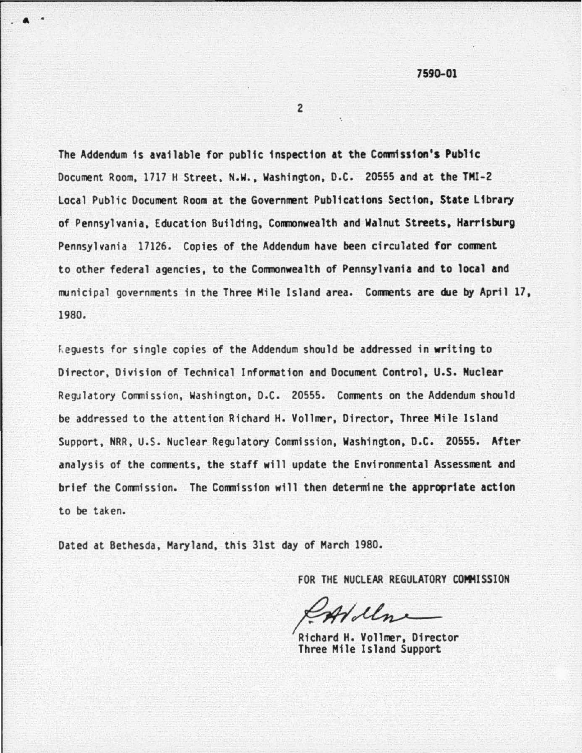7590.01

2

. a •

The Addendum is available for public inspection at the Commission's Public Document Room, 1717 H Street, N.W., Washington, D.C. 20555 and at the TMI-2 Local Public Document Room at the Government Publications Section, State Library of Pennsylvania, Education Building, Commonwealth and Walnut Streets. Harrisburg Pennsylvania 17126. Copies of the Addendum have been circuldted for comment to other federal agencies, to the Commonwealth of Pennsylvania and to local and municipal governments in the Three Mile Island area. Comments are due by April 17, 1980.

Fequests for single copies of the Addendum should be addressed in writing to Director, Division of Technical Information and Document Control, U.S. Nuclear Regulatory Commission, Wash ington, D.C. 20555. Comments on the Addendum should be addressed to the attent ion Richard H. Vollmer, Director, Three Mile Island Support, NRR, u.s. Nuclear Regulatory Conmission, Washington, D.C. 20555. After analysis of the comments, the staff will update the Environmental Assessment and brief the Commission. The Commission will then determine the appropriate action to be taken.

Dated at Bethesda, Maryland, this 31st day of March 1980.

FOR THE NUCLEAR REGULATORY COMMISSION

 $\mathcal{L}$ 

Richard H. Vollmer, Director Three Mile Island Support